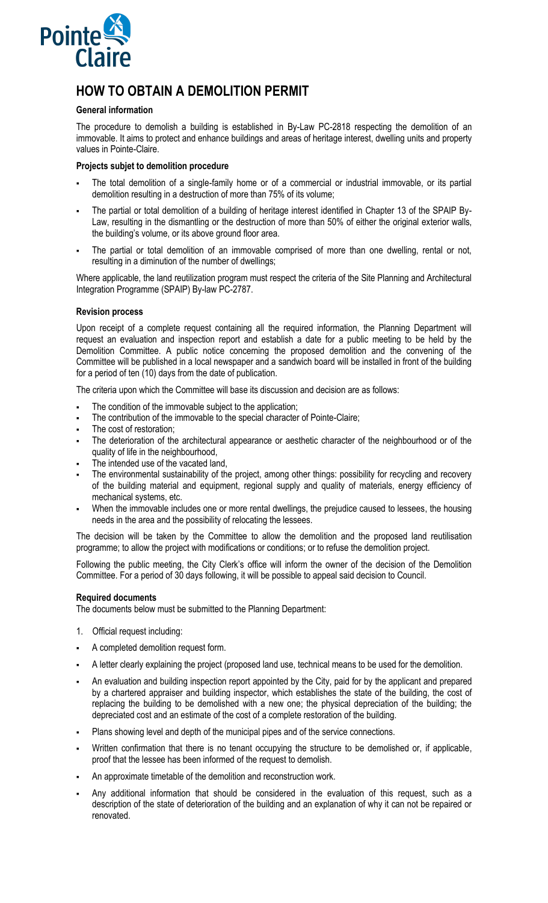

# **HOW TO OBTAIN A DEMOLITION PERMIT**

## **General information**

The procedure to demolish a building is established in By-Law PC-2818 respecting the demolition of an immovable. It aims to protect and enhance buildings and areas of heritage interest, dwelling units and property values in Pointe-Claire.

## **Projects subjet to demolition procedure**

- The total demolition of a single-family home or of a commercial or industrial immovable, or its partial demolition resulting in a destruction of more than 75% of its volume;
- The partial or total demolition of a building of heritage interest identified in Chapter 13 of the SPAIP By-Law, resulting in the dismantling or the destruction of more than 50% of either the original exterior walls, the building's volume, or its above ground floor area.
- The partial or total demolition of an immovable comprised of more than one dwelling, rental or not, resulting in a diminution of the number of dwellings;

Where applicable, the land reutilization program must respect the criteria of the Site Planning and Architectural Integration Programme (SPAIP) By-law PC-2787.

### **Revision process**

Upon receipt of a complete request containing all the required information, the Planning Department will request an evaluation and inspection report and establish a date for a public meeting to be held by the Demolition Committee. A public notice concerning the proposed demolition and the convening of the Committee will be published in a local newspaper and a sandwich board will be installed in front of the building for a period of ten (10) days from the date of publication.

The criteria upon which the Committee will base its discussion and decision are as follows:

- The condition of the immovable subject to the application;
- The contribution of the immovable to the special character of Pointe-Claire;
- The cost of restoration;
- The deterioration of the architectural appearance or aesthetic character of the neighbourhood or of the quality of life in the neighbourhood,
- The intended use of the vacated land,
- The environmental sustainability of the project, among other things: possibility for recycling and recovery of the building material and equipment, regional supply and quality of materials, energy efficiency of mechanical systems, etc.
- When the immovable includes one or more rental dwellings, the prejudice caused to lessees, the housing needs in the area and the possibility of relocating the lessees.

The decision will be taken by the Committee to allow the demolition and the proposed land reutilisation programme; to allow the project with modifications or conditions; or to refuse the demolition project.

Following the public meeting, the City Clerk's office will inform the owner of the decision of the Demolition Committee. For a period of 30 days following, it will be possible to appeal said decision to Council.

## **Required documents**

The documents below must be submitted to the Planning Department:

- 1. Official request including:
- A completed demolition request form.
- A letter clearly explaining the project (proposed land use, technical means to be used for the demolition.
- An evaluation and building inspection report appointed by the City, paid for by the applicant and prepared by a chartered appraiser and building inspector, which establishes the state of the building, the cost of replacing the building to be demolished with a new one; the physical depreciation of the building; the depreciated cost and an estimate of the cost of a complete restoration of the building.
- Plans showing level and depth of the municipal pipes and of the service connections.
- Written confirmation that there is no tenant occupying the structure to be demolished or, if applicable, proof that the lessee has been informed of the request to demolish.
- An approximate timetable of the demolition and reconstruction work.
- Any additional information that should be considered in the evaluation of this request, such as a description of the state of deterioration of the building and an explanation of why it can not be repaired or renovated.